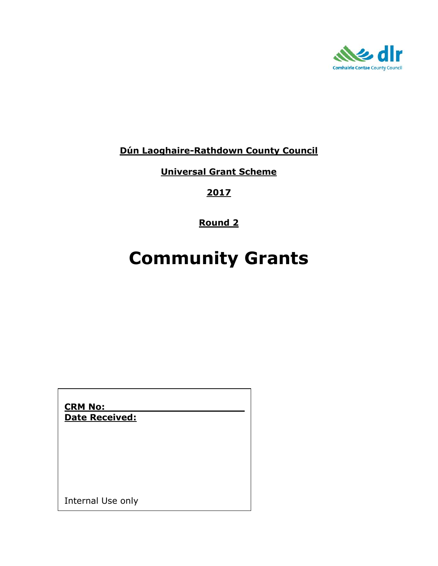

## **Dún Laoghaire-Rathdown County Council**

**Universal Grant Scheme**

**2017**

**Round 2**

# **Community Grants**

**CRM No: Date Received:**

Internal Use only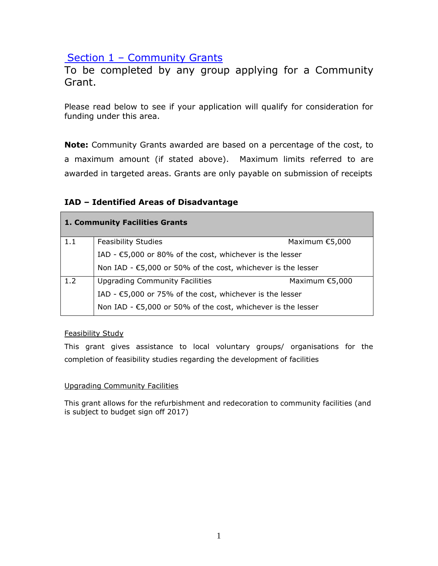## Section 1 - Community Grants

To be completed by any group applying for a Community Grant.

Please read below to see if your application will qualify for consideration for funding under this area.

**Note:** Community Grants awarded are based on a percentage of the cost, to a maximum amount (if stated above). Maximum limits referred to are awarded in targeted areas. Grants are only payable on submission of receipts

## **IAD – Identified Areas of Disadvantage**

|     | <b>1. Community Facilities Grants</b>                                  |                  |
|-----|------------------------------------------------------------------------|------------------|
| 1.1 | <b>Feasibility Studies</b>                                             | Maximum $£5,000$ |
|     | IAD - €5,000 or 80% of the cost, whichever is the lesser               |                  |
|     | Non IAD - €5,000 or 50% of the cost, whichever is the lesser           |                  |
| 1.2 | <b>Upgrading Community Facilities</b>                                  | Maximum $£5,000$ |
|     | IAD - $\epsilon$ 5,000 or 75% of the cost, whichever is the lesser     |                  |
|     | Non IAD - $\epsilon$ 5,000 or 50% of the cost, whichever is the lesser |                  |

#### Feasibility Study

This grant gives assistance to local voluntary groups/ organisations for the completion of feasibility studies regarding the development of facilities

#### Upgrading Community Facilities

This grant allows for the refurbishment and redecoration to community facilities (and is subject to budget sign off 2017)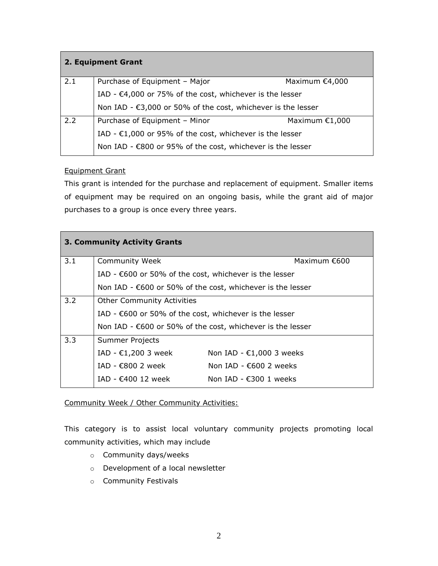|     | 2. Equipment Grant                                                 |                  |
|-----|--------------------------------------------------------------------|------------------|
| 2.1 | Purchase of Equipment - Major                                      | Maximum $€4,000$ |
|     | IAD - $\epsilon$ 4,000 or 75% of the cost, whichever is the lesser |                  |
|     | Non IAD - €3,000 or 50% of the cost, whichever is the lesser       |                  |
| 2.2 | Purchase of Equipment - Minor                                      | Maximum $£1,000$ |
|     | IAD - $\epsilon$ 1,000 or 95% of the cost, whichever is the lesser |                  |
|     | Non IAD - €800 or 95% of the cost, whichever is the lesser         |                  |

#### Equipment Grant

This grant is intended for the purchase and replacement of equipment. Smaller items of equipment may be required on an ongoing basis, while the grant aid of major purchases to a group is once every three years.

|     | 3. Community Activity Grants                                         |                                                                      |
|-----|----------------------------------------------------------------------|----------------------------------------------------------------------|
| 3.1 | <b>Community Week</b>                                                | Maximum $€600$                                                       |
|     | IAD - $\epsilon$ 600 or 50% of the cost, whichever is the lesser     |                                                                      |
|     |                                                                      | Non IAD - $\epsilon$ 600 or 50% of the cost, whichever is the lesser |
| 3.2 | <b>Other Community Activities</b>                                    |                                                                      |
|     | IAD - $\epsilon$ 600 or 50% of the cost, whichever is the lesser     |                                                                      |
|     | Non IAD - $\epsilon$ 600 or 50% of the cost, whichever is the lesser |                                                                      |
| 3.3 | Summer Projects                                                      |                                                                      |
|     | IAD - $\epsilon$ 1,200 3 week                                        | Non IAD - $\epsilon$ 1,000 3 weeks                                   |
|     | IAD - €800 2 week                                                    | Non $IAD - E600$ 2 weeks                                             |
|     | IAD - $€400$ 12 week                                                 | Non $IAD - \epsilon 300$ 1 weeks                                     |

Community Week / Other Community Activities:

This category is to assist local voluntary community projects promoting local community activities, which may include

- o Community days/weeks
- o Development of a local newsletter
- o Community Festivals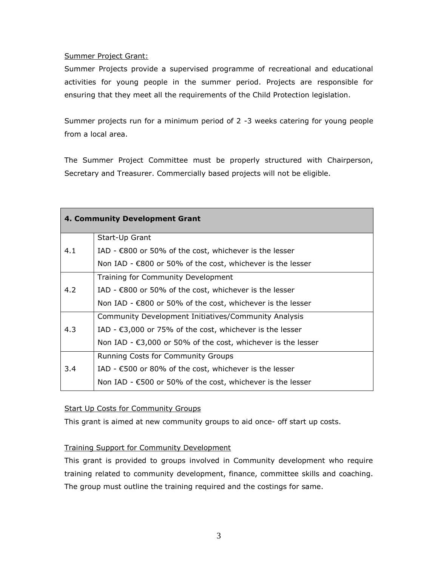#### Summer Project Grant:

Summer Projects provide a supervised programme of recreational and educational activities for young people in the summer period. Projects are responsible for ensuring that they meet all the requirements of the Child Protection legislation.

Summer projects run for a minimum period of 2 -3 weeks catering for young people from a local area.

The Summer Project Committee must be properly structured with Chairperson, Secretary and Treasurer. Commercially based projects will not be eligible.

|     | 4. Community Development Grant                                         |
|-----|------------------------------------------------------------------------|
|     | Start-Up Grant                                                         |
| 4.1 | IAD - $\epsilon$ 800 or 50% of the cost, whichever is the lesser       |
|     | Non IAD - $\epsilon$ 800 or 50% of the cost, whichever is the lesser   |
|     | Training for Community Development                                     |
| 4.2 | IAD - $\epsilon$ 800 or 50% of the cost, whichever is the lesser       |
|     | Non IAD - $\epsilon$ 800 or 50% of the cost, whichever is the lesser   |
|     | Community Development Initiatives/Community Analysis                   |
| 4.3 | IAD - €3,000 or 75% of the cost, whichever is the lesser               |
|     | Non IAD - $\epsilon$ 3,000 or 50% of the cost, whichever is the lesser |
|     | Running Costs for Community Groups                                     |
| 3.4 | IAD - $\epsilon$ 500 or 80% of the cost, whichever is the lesser       |
|     | Non IAD - $\epsilon$ 500 or 50% of the cost, whichever is the lesser   |

#### **Start Up Costs for Community Groups**

This grant is aimed at new community groups to aid once- off start up costs.

#### Training Support for Community Development

This grant is provided to groups involved in Community development who require training related to community development, finance, committee skills and coaching. The group must outline the training required and the costings for same.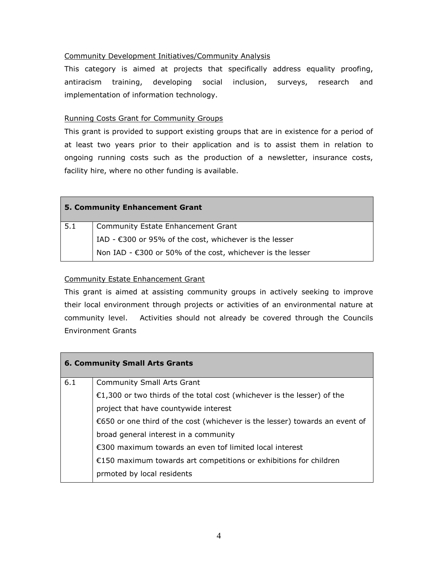#### Community Development Initiatives/Community Analysis

This category is aimed at projects that specifically address equality proofing, antiracism training, developing social inclusion, surveys, research and implementation of information technology.

#### Running Costs Grant for Community Groups

This grant is provided to support existing groups that are in existence for a period of at least two years prior to their application and is to assist them in relation to ongoing running costs such as the production of a newsletter, insurance costs, facility hire, where no other funding is available.

|     | <b>5. Community Enhancement Grant</b>                            |
|-----|------------------------------------------------------------------|
| 5.1 | <b>Community Estate Enhancement Grant</b>                        |
|     | IAD - $\epsilon$ 300 or 95% of the cost, whichever is the lesser |
|     | Non IAD - €300 or 50% of the cost, whichever is the lesser       |

#### Community Estate Enhancement Grant

This grant is aimed at assisting community groups in actively seeking to improve their local environment through projects or activities of an environmental nature at community level. Activities should not already be covered through the Councils Environment Grants

|     | <b>6. Community Small Arts Grants</b>                                       |
|-----|-----------------------------------------------------------------------------|
| 6.1 | <b>Community Small Arts Grant</b>                                           |
|     | €1,300 or two thirds of the total cost (whichever is the lesser) of the     |
|     | project that have countywide interest                                       |
|     | €650 or one third of the cost (whichever is the lesser) towards an event of |
|     | broad general interest in a community                                       |
|     | €300 maximum towards an even tof limited local interest                     |
|     | €150 maximum towards art competitions or exhibitions for children           |
|     | prmoted by local residents                                                  |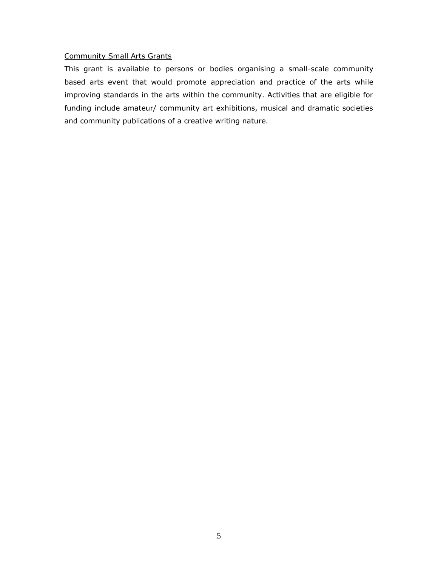#### Community Small Arts Grants

This grant is available to persons or bodies organising a small-scale community based arts event that would promote appreciation and practice of the arts while improving standards in the arts within the community. Activities that are eligible for funding include amateur/ community art exhibitions, musical and dramatic societies and community publications of a creative writing nature.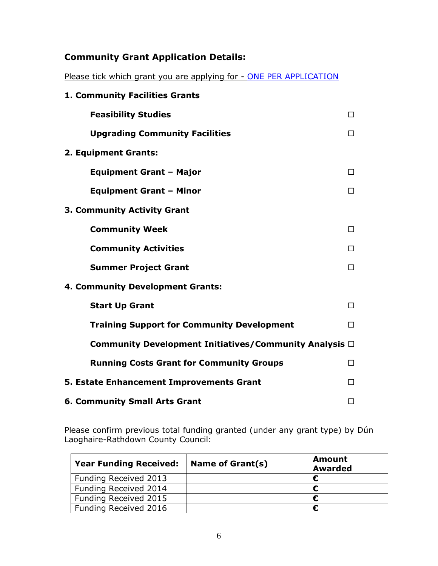# **Community Grant Application Details:**

Please tick which grant you are applying for - ONE PER APPLICATION

| 1. Community Facilities Grants                              |   |
|-------------------------------------------------------------|---|
| <b>Feasibility Studies</b>                                  | П |
| <b>Upgrading Community Facilities</b>                       | П |
| 2. Equipment Grants:                                        |   |
| <b>Equipment Grant - Major</b>                              | п |
| <b>Equipment Grant - Minor</b>                              | П |
| 3. Community Activity Grant                                 |   |
| <b>Community Week</b>                                       | П |
| <b>Community Activities</b>                                 | П |
| <b>Summer Project Grant</b>                                 | п |
| 4. Community Development Grants:                            |   |
| <b>Start Up Grant</b>                                       | □ |
| <b>Training Support for Community Development</b>           | □ |
| Community Development Initiatives/Community Analysis $\Box$ |   |
| <b>Running Costs Grant for Community Groups</b>             | П |
| 5. Estate Enhancement Improvements Grant                    | П |
| <b>6. Community Small Arts Grant</b>                        | □ |

Please confirm previous total funding granted (under any grant type) by Dún Laoghaire-Rathdown County Council:

| <b>Year Funding Received:</b> | Name of Grant(s) | <b>Amount</b><br><b>Awarded</b> |
|-------------------------------|------------------|---------------------------------|
| Funding Received 2013         |                  |                                 |
| Funding Received 2014         |                  |                                 |
| Funding Received 2015         |                  |                                 |
| Funding Received 2016         |                  |                                 |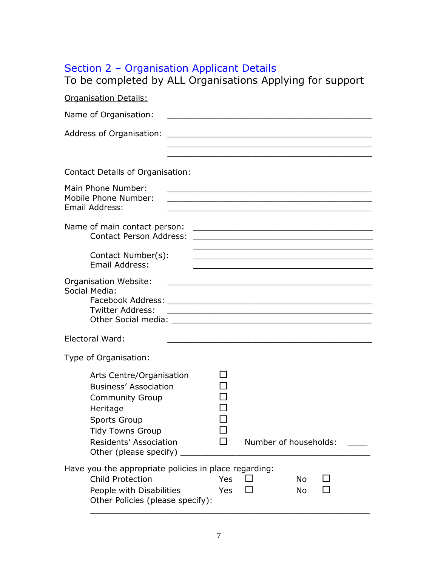# Section 2 – Organisation Applicant Details

| To be completed by ALL Organisations Applying for support                                                                                                                                            |            |                                                                                                                                                                                                                                               |                        |                                                                                                                       |
|------------------------------------------------------------------------------------------------------------------------------------------------------------------------------------------------------|------------|-----------------------------------------------------------------------------------------------------------------------------------------------------------------------------------------------------------------------------------------------|------------------------|-----------------------------------------------------------------------------------------------------------------------|
| <b>Organisation Details:</b>                                                                                                                                                                         |            |                                                                                                                                                                                                                                               |                        |                                                                                                                       |
| Name of Organisation:                                                                                                                                                                                |            | <u> 1990 - Johann Barbara, martxa alemaniar a</u>                                                                                                                                                                                             |                        |                                                                                                                       |
|                                                                                                                                                                                                      |            | and the control of the control of the control of the control of the control of the control of the control of the                                                                                                                              |                        |                                                                                                                       |
|                                                                                                                                                                                                      |            | <u> 1989 - Johann Stoff, amerikansk politiker (d. 1989)</u>                                                                                                                                                                                   |                        |                                                                                                                       |
| <b>Contact Details of Organisation:</b>                                                                                                                                                              |            |                                                                                                                                                                                                                                               |                        |                                                                                                                       |
| Main Phone Number:<br>Mobile Phone Number:<br>Email Address:                                                                                                                                         |            | <u> 1989 - Johann Barbara, markazi batar da bashkar a shekara ta 1989 - An tsara tsara tsara tsara tsara tsara t</u><br><u> 1989 - Johann Stein, marwolaethau a bhann an t-Amhainn an t-Amhainn an t-Amhainn an t-Amhainn an t-Amhainn an</u> |                        |                                                                                                                       |
| Name of main contact person:<br><b>Contact Person Address:</b>                                                                                                                                       |            | <u> 2000 - Johann Johann Johann Johann Johann Johann Johann Johann Johann Johann Johann Johann Johann Johann Johann Johann Johann Johann Johann Johann Johann Johann Johann Johann Johann Johann Johann Johann Johann Johann Joh</u>          |                        | <u> 1989 - Johann Harry Harry Harry Harry Harry Harry Harry Harry Harry Harry Harry Harry Harry Harry Harry Harry</u> |
| Contact Number(s):<br>Email Address:                                                                                                                                                                 |            | <u> 1989 - Andrea Stein, Amerikaansk politiker († 1908)</u>                                                                                                                                                                                   |                        |                                                                                                                       |
| Organisation Website:<br>Social Media:<br><b>Twitter Address:</b>                                                                                                                                    |            | <u> 1989 - Johann John Stone, mars et al. (1989)</u><br><u> 1989 - Johann John Stone, mars and deutscher Stone († 1951)</u>                                                                                                                   |                        |                                                                                                                       |
| Electoral Ward:                                                                                                                                                                                      |            |                                                                                                                                                                                                                                               |                        |                                                                                                                       |
| Type of Organisation:                                                                                                                                                                                |            |                                                                                                                                                                                                                                               |                        |                                                                                                                       |
| Arts Centre/Organisation<br><b>Business' Association</b><br><b>Community Group</b><br>Heritage<br><b>Sports Group</b><br><b>Tidy Towns Group</b><br>Residents' Association<br>Other (please specify) |            | Number of households:                                                                                                                                                                                                                         |                        |                                                                                                                       |
| Have you the appropriate policies in place regarding:<br><b>Child Protection</b><br>People with Disabilities<br>Other Policies (please specify):                                                     | Yes<br>Yes |                                                                                                                                                                                                                                               | <b>No</b><br><b>No</b> |                                                                                                                       |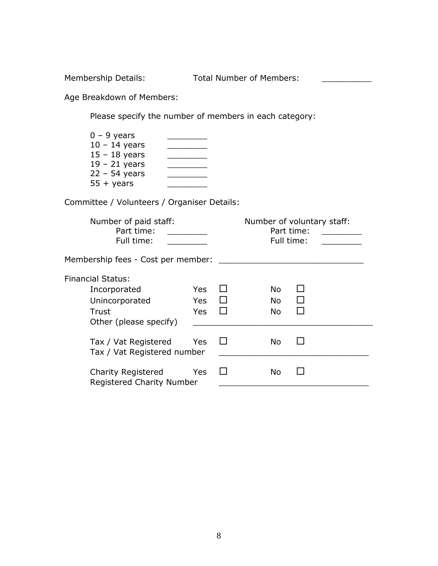Membership Details: Total Number of Members: \_\_\_\_\_\_\_\_\_\_\_\_

Age Breakdown of Members:

Please specify the number of members in each category:

| $0 - 9$ years      |  |
|--------------------|--|
| $10 - 14$ years    |  |
| $15 - 18$ years    |  |
| $19 - 21$ years    |  |
| $22 - 54$ years    |  |
| $55 + \gamma$ ears |  |

Committee / Volunteers / Organiser Details:

| Number of paid staff:<br>Part time:<br>Full time:                                             |                                  |  | Part time:<br>Full time:      | Number of voluntary staff: |
|-----------------------------------------------------------------------------------------------|----------------------------------|--|-------------------------------|----------------------------|
| Membership fees - Cost per member:                                                            |                                  |  |                               |                            |
| <b>Financial Status:</b><br>Incorporated<br>Unincorporated<br>Trust<br>Other (please specify) | <b>Yes</b><br>Yes.<br><b>Yes</b> |  | No.<br><b>No</b><br><b>No</b> |                            |
| Tax / Vat Registered<br>Tax / Vat Registered number                                           | <b>Yes</b>                       |  | No.                           |                            |
| <b>Charity Registered</b><br>Registered Charity Number                                        | <b>Yes</b>                       |  | No                            |                            |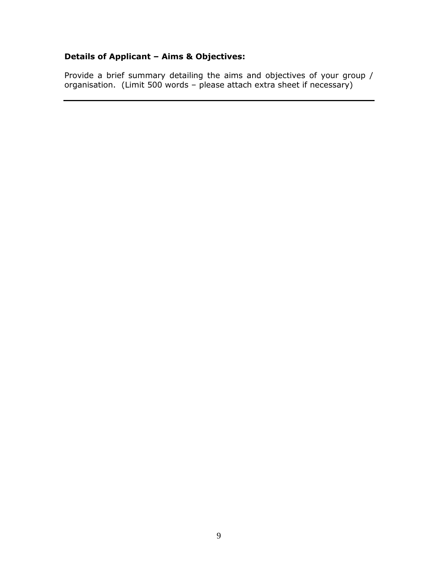## **Details of Applicant – Aims & Objectives:**

Provide a brief summary detailing the aims and objectives of your group / organisation. (Limit 500 words – please attach extra sheet if necessary)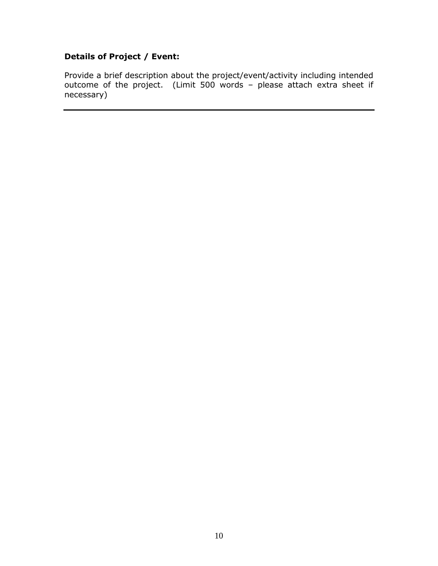## **Details of Project / Event:**

Provide a brief description about the project/event/activity including intended outcome of the project. (Limit 500 words – please attach extra sheet if necessary)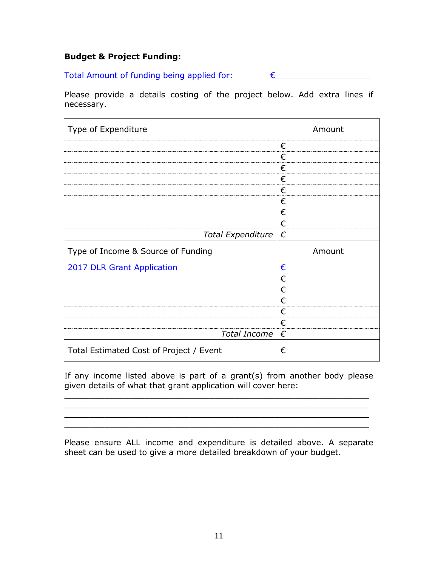#### **Budget & Project Funding:**

Total Amount of funding being applied for:  $\epsilon$ 

Please provide a details costing of the project below. Add extra lines if necessary.

| Type of Expenditure                | Amount |
|------------------------------------|--------|
|                                    | €      |
|                                    | €      |
|                                    | €      |
|                                    | €      |
|                                    | €      |
|                                    | €      |
|                                    | €      |
|                                    | €      |
| Total Expenditure $\epsilon$       |        |
|                                    |        |
| Type of Income & Source of Funding | Amount |
|                                    | €      |
| 2017 DLR Grant Application         | €      |
|                                    | €      |
|                                    | €      |
|                                    | €      |
|                                    | €      |
| Total Income $\epsilon$            |        |

If any income listed above is part of a grant(s) from another body please given details of what that grant application will cover here:

\_\_\_\_\_\_\_\_\_\_\_\_\_\_\_\_\_\_\_\_\_\_\_\_\_\_\_\_\_\_\_\_\_\_\_\_\_\_\_\_\_\_\_\_\_\_\_\_\_\_\_\_\_\_\_\_\_\_\_\_\_  $\overline{\phantom{a}}$  , and the contract of the contract of the contract of the contract of the contract of the contract of the contract of the contract of the contract of the contract of the contract of the contract of the contrac

 $\mathcal{L}_\mathcal{L}$  , and the set of the set of the set of the set of the set of the set of the set of the set of the set of the set of the set of the set of the set of the set of the set of the set of the set of the set of th

Please ensure ALL income and expenditure is detailed above. A separate sheet can be used to give a more detailed breakdown of your budget.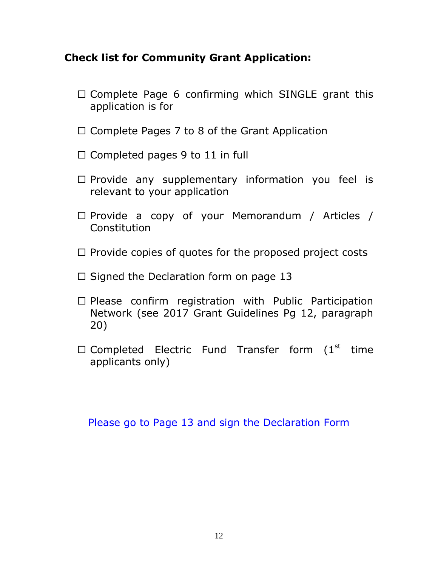# **Check list for Community Grant Application:**

- $\Box$  Complete Page 6 confirming which SINGLE grant this application is for
- $\Box$  Complete Pages 7 to 8 of the Grant Application
- $\Box$  Completed pages 9 to 11 in full
- $\Box$  Provide any supplementary information you feel is relevant to your application
- Provide a copy of your Memorandum / Articles / **Constitution**
- $\Box$  Provide copies of quotes for the proposed project costs
- $\Box$  Signed the Declaration form on page 13
- $\Box$  Please confirm registration with Public Participation Network (see 2017 Grant Guidelines Pg 12, paragraph 20)
- $\square$  Completed Electric Fund Transfer form (1st time applicants only)

Please go to Page 13 and sign the Declaration Form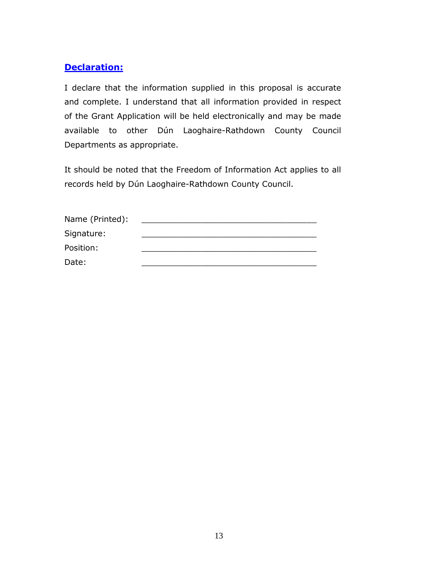## **Declaration:**

I declare that the information supplied in this proposal is accurate and complete. I understand that all information provided in respect of the Grant Application will be held electronically and may be made available to other Dún Laoghaire-Rathdown County Council Departments as appropriate.

It should be noted that the Freedom of Information Act applies to all records held by Dún Laoghaire-Rathdown County Council.

| Name (Printed): |  |
|-----------------|--|
| Signature:      |  |
| Position:       |  |
| Date:           |  |